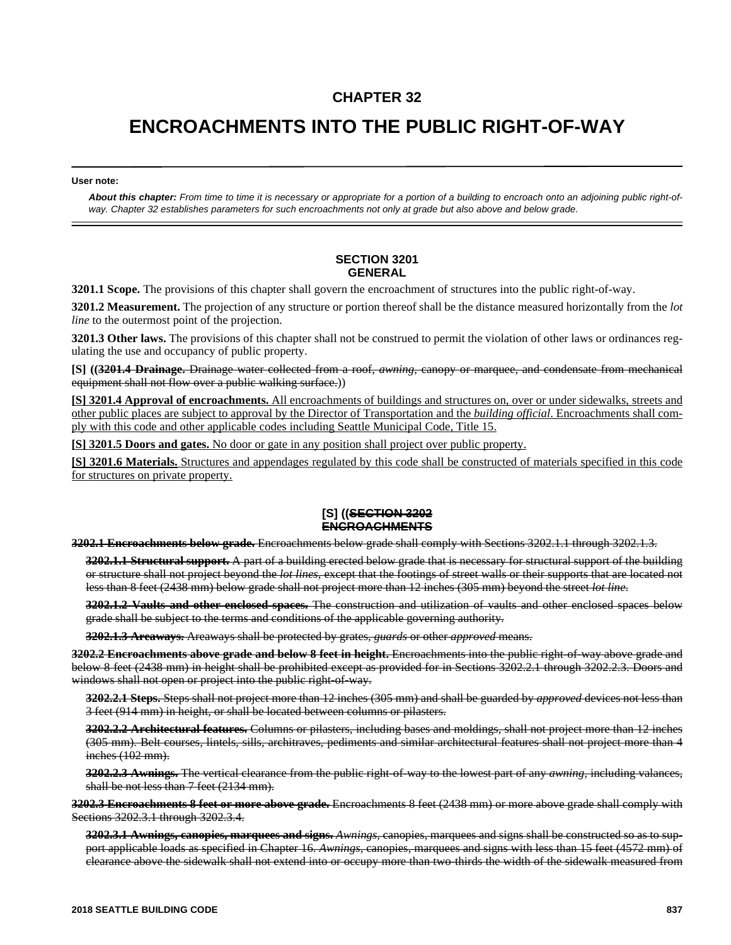## **CHAPTER 32**

## **ENCROACHMENTS INTO THE PUBLIC RIGHT-OF-WAY**

**User note:**

*About this chapter: From time to time it is necessary or appropriate for a portion of a building to encroach onto an adjoining public right-ofway. Chapter 32 establishes parameters for such encroachments not only at grade but also above and below grade.*

## **SECTION 3201 GENERAL**

**3201.1 Scope.** The provisions of this chapter shall govern the encroachment of structures into the public right-of-way.

**3201.2 Measurement.** The projection of any structure or portion thereof shall be the distance measured horizontally from the *lot line* to the outermost point of the projection.

**3201.3 Other laws.** The provisions of this chapter shall not be construed to permit the violation of other laws or ordinances regulating the use and occupancy of public property.

**[S] ((3201.4 Drainage.** Drainage water collected from a roof, *awning*, canopy or marquee, and condensate from mechanical equipment shall not flow over a public walking surface.))

**[S] 3201.4 Approval of encroachments.** All encroachments of buildings and structures on, over or under sidewalks, streets and other public places are subject to approval by the Director of Transportation and the *building official*. Encroachments shall comply with this code and other applicable codes including Seattle Municipal Code, Title 15.

**[S] 3201.5 Doors and gates.** No door or gate in any position shall project over public property.

**[S] 3201.6 Materials.** Structures and appendages regulated by this code shall be constructed of materials specified in this code for structures on private property.

## **[S] ((SECTION 3202 ENCROACHMENTS**

**3202.1 Encroachments below grade.** Encroachments below grade shall comply with Sections 3202.1.1 through 3202.1.3.

**3202.1.1 Structural support.** A part of a building erected below grade that is necessary for structural support of the building or structure shall not project beyond the *lot lines*, except that the footings of street walls or their supports that are located not less than 8 feet (2438 mm) below grade shall not project more than 12 inches (305 mm) beyond the street *lot line*.

**3202.1.2 Vaults and other enclosed spaces.** The construction and utilization of vaults and other enclosed spaces below grade shall be subject to the terms and conditions of the applicable governing authority.

**3202.1.3 Areaways.** Areaways shall be protected by grates, *guards* or other *approved* means.

**3202.2 Encroachments above grade and below 8 feet in height.** Encroachments into the public right-of-way above grade and below 8 feet (2438 mm) in height shall be prohibited except as provided for in Sections 3202.2.1 through 3202.2.3. Doors and windows shall not open or project into the public right-of-way.

**3202.2.1 Steps.** Steps shall not project more than 12 inches (305 mm) and shall be guarded by *approved* devices not less than 3 feet (914 mm) in height, or shall be located between columns or pilasters.

**3202.2.2 Architectural features.** Columns or pilasters, including bases and moldings, shall not project more than 12 inches (305 mm). Belt courses, lintels, sills, architraves, pediments and similar architectural features shall not project more than 4 inches (102 mm).

**3202.2.3 Awnings.** The vertical clearance from the public right-of-way to the lowest part of any *awning*, including valances, shall be not less than 7 feet (2134 mm).

**3202.3 Encroachments 8 feet or more above grade.** Encroachments 8 feet (2438 mm) or more above grade shall comply with Sections 3202.3.1 through 3202.3.4.

**3202.3.1 Awnings, canopies, marquees and signs.** *Awnings,* canopies, marquees and signs shall be constructed so as to support applicable loads as specified in Chapter 16. *Awnings,* canopies, marquees and signs with less than 15 feet (4572 mm) of clearance above the sidewalk shall not extend into or occupy more than two-thirds the width of the sidewalk measured from